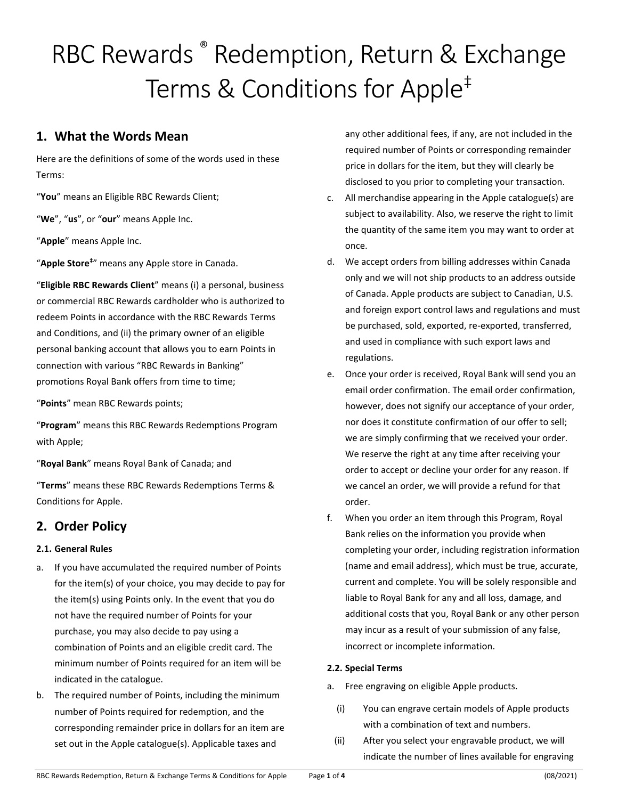# RBC Rewards <sup>®</sup> Redemption, Return & Exchange Terms & Conditions for Apple<sup>‡</sup>

## **1. What the Words Mean**

Here are the definitions of some of the words used in these Terms:

"**You**" means an Eligible RBC Rewards Client;

"**We**", "**us**", or "**our**" means Apple Inc.

"**Apple**" means Apple Inc.

"**Apple Store‡** " means any Apple store in Canada.

"**Eligible RBC Rewards Client**" means (i) a personal, business or commercial RBC Rewards cardholder who is authorized to redeem Points in accordance with the RBC Rewards Terms and Conditions, and (ii) the primary owner of an eligible personal banking account that allows you to earn Points in connection with various "RBC Rewards in Banking" promotions Royal Bank offers from time to time;

"**Points**" mean RBC Rewards points;

"**Program**" means this RBC Rewards Redemptions Program with Apple;

"**Royal Bank**" means Royal Bank of Canada; and

"**Terms**" means these RBC Rewards Redemptions Terms & Conditions for Apple.

## **2. Order Policy**

#### **2.1. General Rules**

- a. If you have accumulated the required number of Points for the item(s) of your choice, you may decide to pay for the item(s) using Points only. In the event that you do not have the required number of Points for your purchase, you may also decide to pay using a combination of Points and an eligible credit card. The minimum number of Points required for an item will be indicated in the catalogue.
- b. The required number of Points, including the minimum number of Points required for redemption, and the corresponding remainder price in dollars for an item are set out in the Apple catalogue(s). Applicable taxes and

any other additional fees, if any, are not included in the required number of Points or corresponding remainder price in dollars for the item, but they will clearly be disclosed to you prior to completing your transaction.

- c. All merchandise appearing in the Apple catalogue(s) are subject to availability. Also, we reserve the right to limit the quantity of the same item you may want to order at once.
- d. We accept orders from billing addresses within Canada only and we will not ship products to an address outside of Canada. Apple products are subject to Canadian, U.S. and foreign export control laws and regulations and must be purchased, sold, exported, re-exported, transferred, and used in compliance with such export laws and regulations.
- e. Once your order is received, Royal Bank will send you an email order confirmation. The email order confirmation, however, does not signify our acceptance of your order, nor does it constitute confirmation of our offer to sell; we are simply confirming that we received your order. We reserve the right at any time after receiving your order to accept or decline your order for any reason. If we cancel an order, we will provide a refund for that order.
- f. When you order an item through this Program, Royal Bank relies on the information you provide when completing your order, including registration information (name and email address), which must be true, accurate, current and complete. You will be solely responsible and liable to Royal Bank for any and all loss, damage, and additional costs that you, Royal Bank or any other person may incur as a result of your submission of any false, incorrect or incomplete information.

#### **2.2. Special Terms**

- a. Free engraving on eligible Apple products.
	- (i) You can engrave certain models of Apple products with a combination of text and numbers.
- (ii) After you select your engravable product, we will indicate the number of lines available for engraving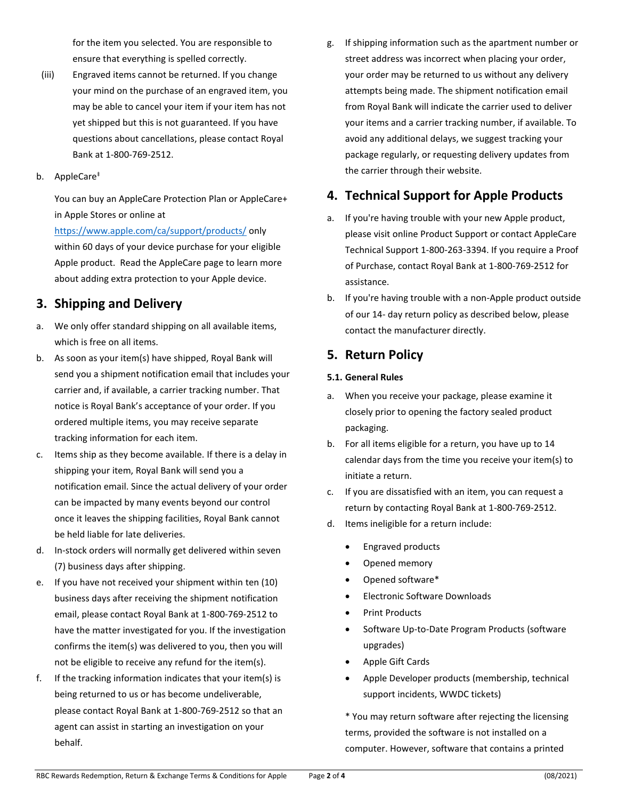for the item you selected. You are responsible to ensure that everything is spelled correctly.

- (iii) Engraved items cannot be returned. If you change your mind on the purchase of an engraved item, you may be able to cancel your item if your item has not yet shipped but this is not guaranteed. If you have questions about cancellations, please contact Royal Bank at 1-800-769-2512.
- b. AppleCare‡

You can buy an AppleCare Protection Plan or AppleCare+ in Apple Stores or online at

<https://www.apple.com/ca/support/products/> only within 60 days of your device purchase for your eligible Apple product. Read the AppleCare page to learn more about adding extra protection to your Apple device.

## **3. Shipping and Delivery**

- a. We only offer standard shipping on all available items, which is free on all items.
- b. As soon as your item(s) have shipped, Royal Bank will send you a shipment notification email that includes your carrier and, if available, a carrier tracking number. That notice is Royal Bank's acceptance of your order. If you ordered multiple items, you may receive separate tracking information for each item.
- c. Items ship as they become available. If there is a delay in shipping your item, Royal Bank will send you a notification email. Since the actual delivery of your order can be impacted by many events beyond our control once it leaves the shipping facilities, Royal Bank cannot be held liable for late deliveries.
- d. In-stock orders will normally get delivered within seven (7) business days after shipping.
- e. If you have not received your shipment within ten (10) business days after receiving the shipment notification email, please contact Royal Bank at 1-800-769-2512 to have the matter investigated for you. If the investigation confirms the item(s) was delivered to you, then you will not be eligible to receive any refund for the item(s).
- f. If the tracking information indicates that your item(s) is being returned to us or has become undeliverable, please contact Royal Bank at 1-800-769-2512 so that an agent can assist in starting an investigation on your behalf.

g. If shipping information such as the apartment number or street address was incorrect when placing your order, your order may be returned to us without any delivery attempts being made. The shipment notification email from Royal Bank will indicate the carrier used to deliver your items and a carrier tracking number, if available. To avoid any additional delays, we suggest tracking your package regularly, or requesting delivery updates from the carrier through their website.

### **4. Technical Support for Apple Products**

- a. If you're having trouble with your new Apple product, please visit online Product Support or contact AppleCare Technical Support 1-800-263-3394. If you require a Proof of Purchase, contact Royal Bank at 1-800-769-2512 for assistance.
- b. If you're having trouble with a non-Apple product outside of our 14- day return policy as described below, please contact the manufacturer directly.

## **5. Return Policy**

#### **5.1. General Rules**

- a. When you receive your package, please examine it closely prior to opening the factory sealed product packaging.
- b. For all items eligible for a return, you have up to 14 calendar days from the time you receive your item(s) to initiate a return.
- c. If you are dissatisfied with an item, you can request a return by contacting Royal Bank at 1-800-769-2512.
- d. Items ineligible for a return include:
	- Engraved products
	- Opened memory
	- Opened software\*
	- Electronic Software Downloads
	- Print Products
	- Software Up-to-Date Program Products (software upgrades)
	- Apple Gift Cards
	- Apple Developer products (membership, technical support incidents, WWDC tickets)

\* You may return software after rejecting the licensing terms, provided the software is not installed on a computer. However, software that contains a printed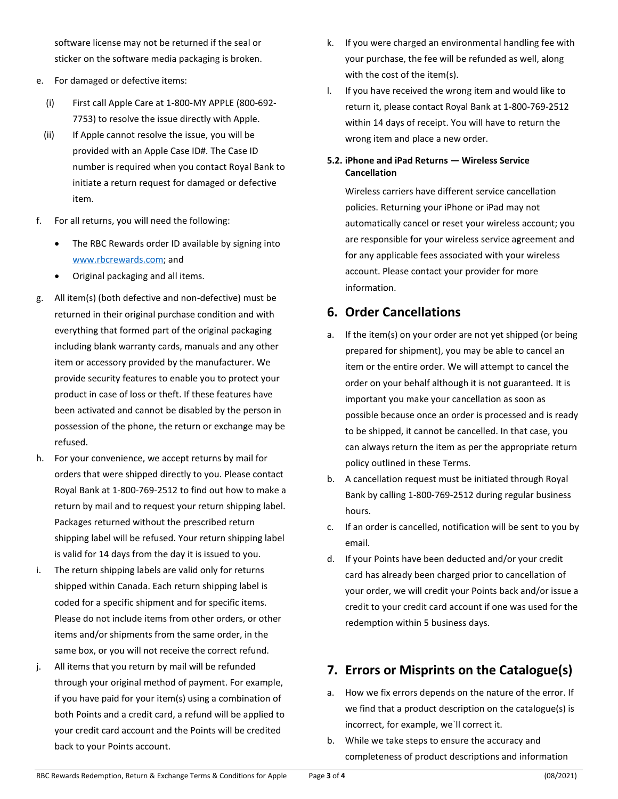software license may not be returned if the seal or sticker on the software media packaging is broken.

- e. For damaged or defective items:
	- (i) First call Apple Care at 1-800-MY APPLE (800-692- 7753) to resolve the issue directly with Apple.
	- (ii) If Apple cannot resolve the issue, you will be provided with an Apple Case ID#. The Case ID number is required when you contact Royal Bank to initiate a return request for damaged or defective item.
- f. For all returns, you will need the following:
	- The RBC Rewards order ID available by signing into [www.rbcrewards.com;](https://www.rbcrewards.com/) and
	- Original packaging and all items.
- g. All item(s) (both defective and non-defective) must be returned in their original purchase condition and with everything that formed part of the original packaging including blank warranty cards, manuals and any other item or accessory provided by the manufacturer. We provide security features to enable you to protect your product in case of loss or theft. If these features have been activated and cannot be disabled by the person in possession of the phone, the return or exchange may be refused.
- h. For your convenience, we accept returns by mail for orders that were shipped directly to you. Please contact Royal Bank at 1-800-769-2512 to find out how to make a return by mail and to request your return shipping label. Packages returned without the prescribed return shipping label will be refused. Your return shipping label is valid for 14 days from the day it is issued to you.
- i. The return shipping labels are valid only for returns shipped within Canada. Each return shipping label is coded for a specific shipment and for specific items. Please do not include items from other orders, or other items and/or shipments from the same order, in the same box, or you will not receive the correct refund.
- j. All items that you return by mail will be refunded through your original method of payment. For example, if you have paid for your item(s) using a combination of both Points and a credit card, a refund will be applied to your credit card account and the Points will be credited back to your Points account.
- k. If you were charged an environmental handling fee with your purchase, the fee will be refunded as well, along with the cost of the item(s).
- l. If you have received the wrong item and would like to return it, please contact Royal Bank at 1-800-769-2512 within 14 days of receipt. You will have to return the wrong item and place a new order.

#### **5.2. iPhone and iPad Returns — Wireless Service Cancellation**

Wireless carriers have different service cancellation policies. Returning your iPhone or iPad may not automatically cancel or reset your wireless account; you are responsible for your wireless service agreement and for any applicable fees associated with your wireless account. Please contact your provider for more information.

### **6. Order Cancellations**

- a. If the item(s) on your order are not yet shipped (or being prepared for shipment), you may be able to cancel an item or the entire order. We will attempt to cancel the order on your behalf although it is not guaranteed. It is important you make your cancellation as soon as possible because once an order is processed and is ready to be shipped, it cannot be cancelled. In that case, you can always return the item as per the appropriate return policy outlined in these Terms.
- b. A cancellation request must be initiated through Royal Bank by calling 1-800-769-2512 during regular business hours.
- c. If an order is cancelled, notification will be sent to you by email.
- d. If your Points have been deducted and/or your credit card has already been charged prior to cancellation of your order, we will credit your Points back and/or issue a credit to your credit card account if one was used for the redemption within 5 business days.

# **7. Errors or Misprints on the Catalogue(s)**

- a. How we fix errors depends on the nature of the error. If we find that a product description on the catalogue(s) is incorrect, for example, we`ll correct it.
- b. While we take steps to ensure the accuracy and completeness of product descriptions and information